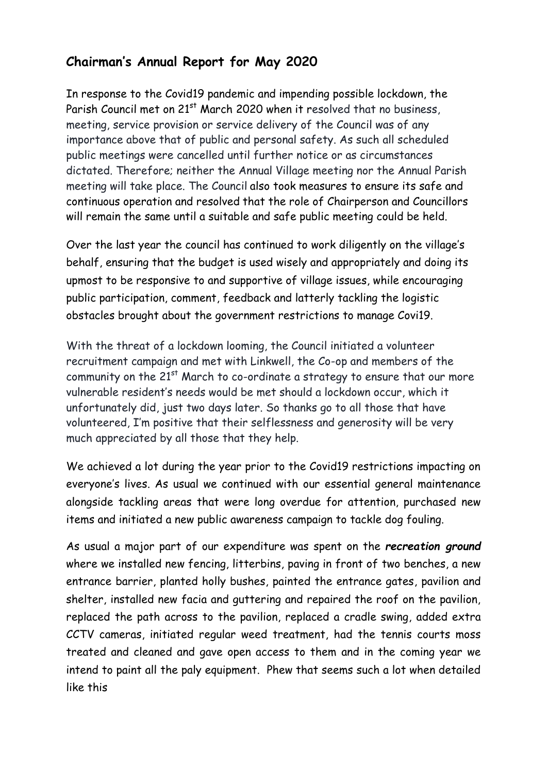## **Chairman's Annual Report for May 2020**

In response to the Covid19 pandemic and impending possible lockdown, the Parish Council met on 21<sup>st</sup> March 2020 when it resolved that no business, meeting, service provision or service delivery of the Council was of any importance above that of public and personal safety. As such all scheduled public meetings were cancelled until further notice or as circumstances dictated. Therefore; neither the Annual Village meeting nor the Annual Parish meeting will take place. The Council also took measures to ensure its safe and continuous operation and resolved that the role of Chairperson and Councillors will remain the same until a suitable and safe public meeting could be held.

Over the last year the council has continued to work diligently on the village's behalf, ensuring that the budget is used wisely and appropriately and doing its upmost to be responsive to and supportive of village issues, while encouraging public participation, comment, feedback and latterly tackling the logistic obstacles brought about the government restrictions to manage Covi19.

With the threat of a lockdown looming, the Council initiated a volunteer recruitment campaign and met with Linkwell, the Co-op and members of the community on the  $21^{st}$  March to co-ordinate a strategy to ensure that our more vulnerable resident's needs would be met should a lockdown occur, which it unfortunately did, just two days later. So thanks go to all those that have volunteered, I'm positive that their selflessness and generosity will be very much appreciated by all those that they help.

We achieved a lot during the year prior to the Covid19 restrictions impacting on everyone's lives. As usual we continued with our essential general maintenance alongside tackling areas that were long overdue for attention, purchased new items and initiated a new public awareness campaign to tackle dog fouling.

As usual a major part of our expenditure was spent on the *recreation ground* where we installed new fencing, litterbins, paving in front of two benches, a new entrance barrier, planted holly bushes, painted the entrance gates, pavilion and shelter, installed new facia and guttering and repaired the roof on the pavilion, replaced the path across to the pavilion, replaced a cradle swing, added extra CCTV cameras, initiated regular weed treatment, had the tennis courts moss treated and cleaned and gave open access to them and in the coming year we intend to paint all the paly equipment. Phew that seems such a lot when detailed like this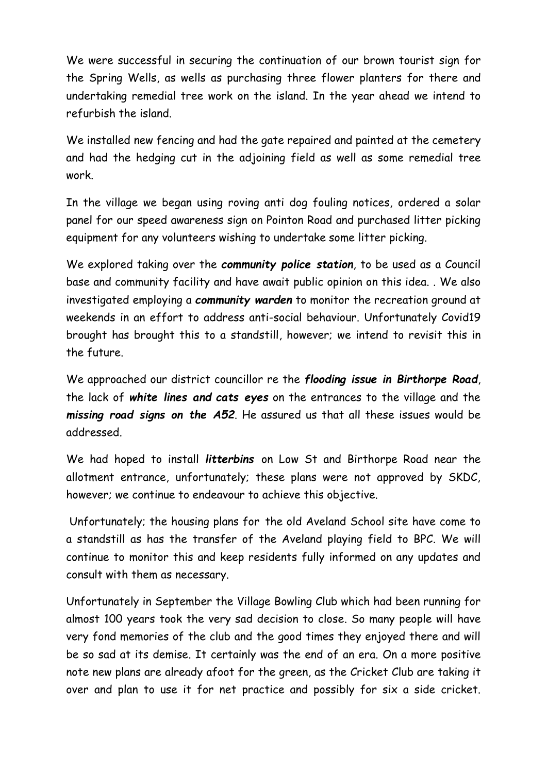We were successful in securing the continuation of our brown tourist sign for the Spring Wells, as wells as purchasing three flower planters for there and undertaking remedial tree work on the island. In the year ahead we intend to refurbish the island.

We installed new fencing and had the gate repaired and painted at the cemetery and had the hedging cut in the adjoining field as well as some remedial tree work.

In the village we began using roving anti dog fouling notices, ordered a solar panel for our speed awareness sign on Pointon Road and purchased litter picking equipment for any volunteers wishing to undertake some litter picking.

We explored taking over the *community police station*, to be used as a Council base and community facility and have await public opinion on this idea. . We also investigated employing a *community warden* to monitor the recreation ground at weekends in an effort to address anti-social behaviour. Unfortunately Covid19 brought has brought this to a standstill, however; we intend to revisit this in the future.

We approached our district councillor re the *flooding issue in Birthorpe Road*, the lack of *white lines and cats eyes* on the entrances to the village and the *missing road signs on the A52*. He assured us that all these issues would be addressed.

We had hoped to install *litterbins* on Low St and Birthorpe Road near the allotment entrance, unfortunately; these plans were not approved by SKDC, however; we continue to endeavour to achieve this objective.

Unfortunately; the housing plans for the old Aveland School site have come to a standstill as has the transfer of the Aveland playing field to BPC. We will continue to monitor this and keep residents fully informed on any updates and consult with them as necessary.

Unfortunately in September the Village Bowling Club which had been running for almost 100 years took the very sad decision to close. So many people will have very fond memories of the club and the good times they enjoyed there and will be so sad at its demise. It certainly was the end of an era. On a more positive note new plans are already afoot for the green, as the Cricket Club are taking it over and plan to use it for net practice and possibly for six a side cricket.